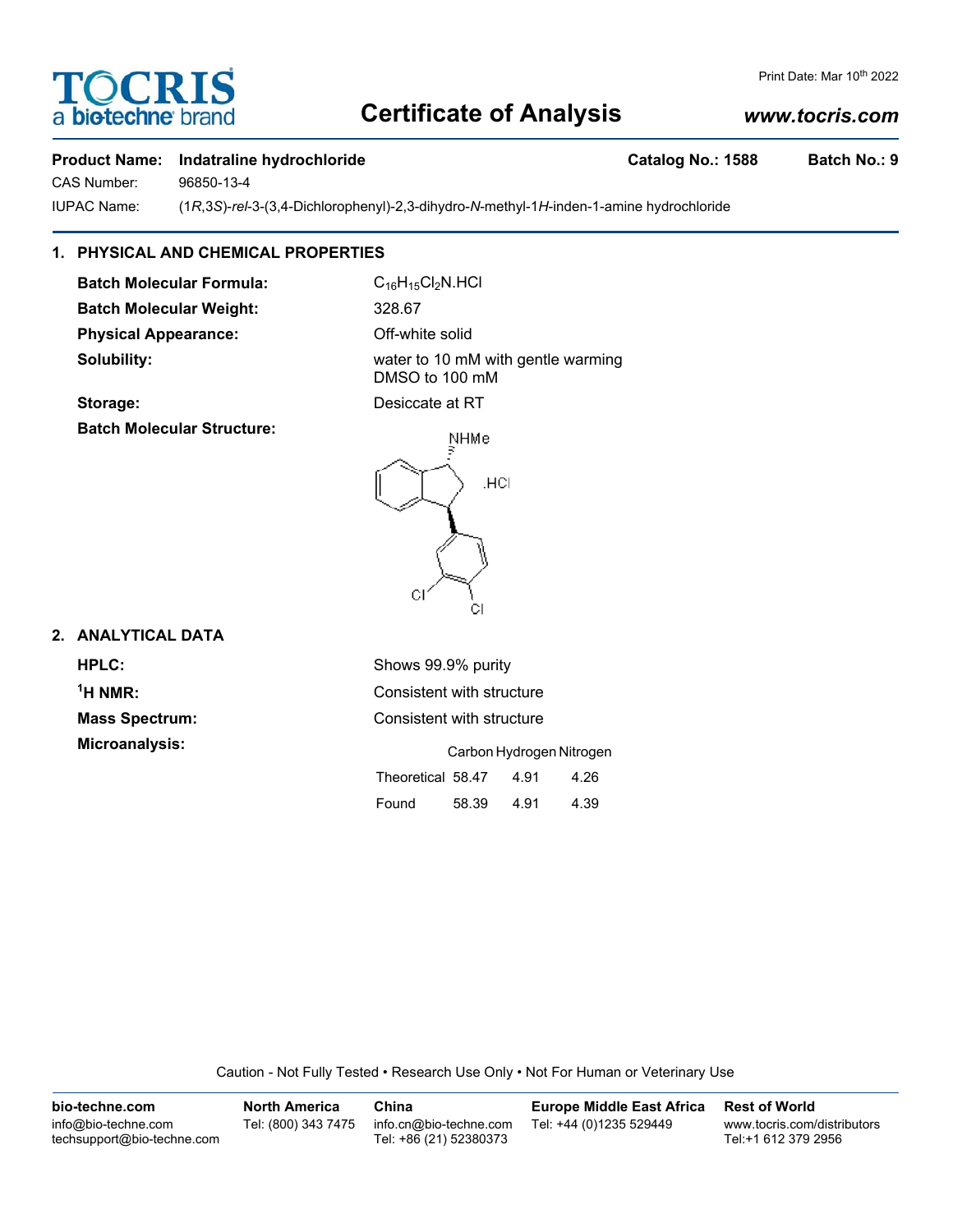## **Certificate of Analysis**

#### *www.tocris.com*

Print Date: Mar 10th 2022

#### **Product Name: Indatraline hydrochloride Catalog No.: 1588 Batch No.: 9**

CAS Number: 96850-13-4

IUPAC Name: (1*R*,3*S*)-*rel*-3-(3,4-Dichlorophenyl)-2,3-dihydro-*N*-methyl-1*H*-inden-1-amine hydrochloride

#### **1. PHYSICAL AND CHEMICAL PROPERTIES**

**Batch Molecular Formula:** C<sub>16</sub>H<sub>15</sub>Cl<sub>2</sub>N.HCl **Batch Molecular Weight:** 328.67 **Physical Appearance:** Off-white solid

**Solubility:** Water to 10 mM with gentle warming DMSO to 100 mM



#### **2. ANALYTICAL DATA**

**HPLC:** Shows 99.9% purity  $<sup>1</sup>H NMR$ </sup>

**Consistent with structure Mass Spectrum:** Consistent with structure **Microanalysis:** Carbon Hydrogen Nitrogen Theoretical 58.47 4.91 4.26

Found 58.39 4.91 4.39

| Caution - Not Fully Tested • Research Use Only • Not For Human or Veterinary Use |  |  |
|----------------------------------------------------------------------------------|--|--|
|                                                                                  |  |  |

| bio-techne.com                                    | <b>North America</b> | China                                            | <b>Europe Middle East Africa</b> | <b>Rest of World</b>                               |
|---------------------------------------------------|----------------------|--------------------------------------------------|----------------------------------|----------------------------------------------------|
| info@bio-techne.com<br>techsupport@bio-techne.com | Tel: (800) 343 7475  | info.cn@bio-techne.com<br>Tel: +86 (21) 52380373 | Tel: +44 (0)1235 529449          | www.tocris.com/distributors<br>Tel:+1 612 379 2956 |





**Batch Molecular Structure:**